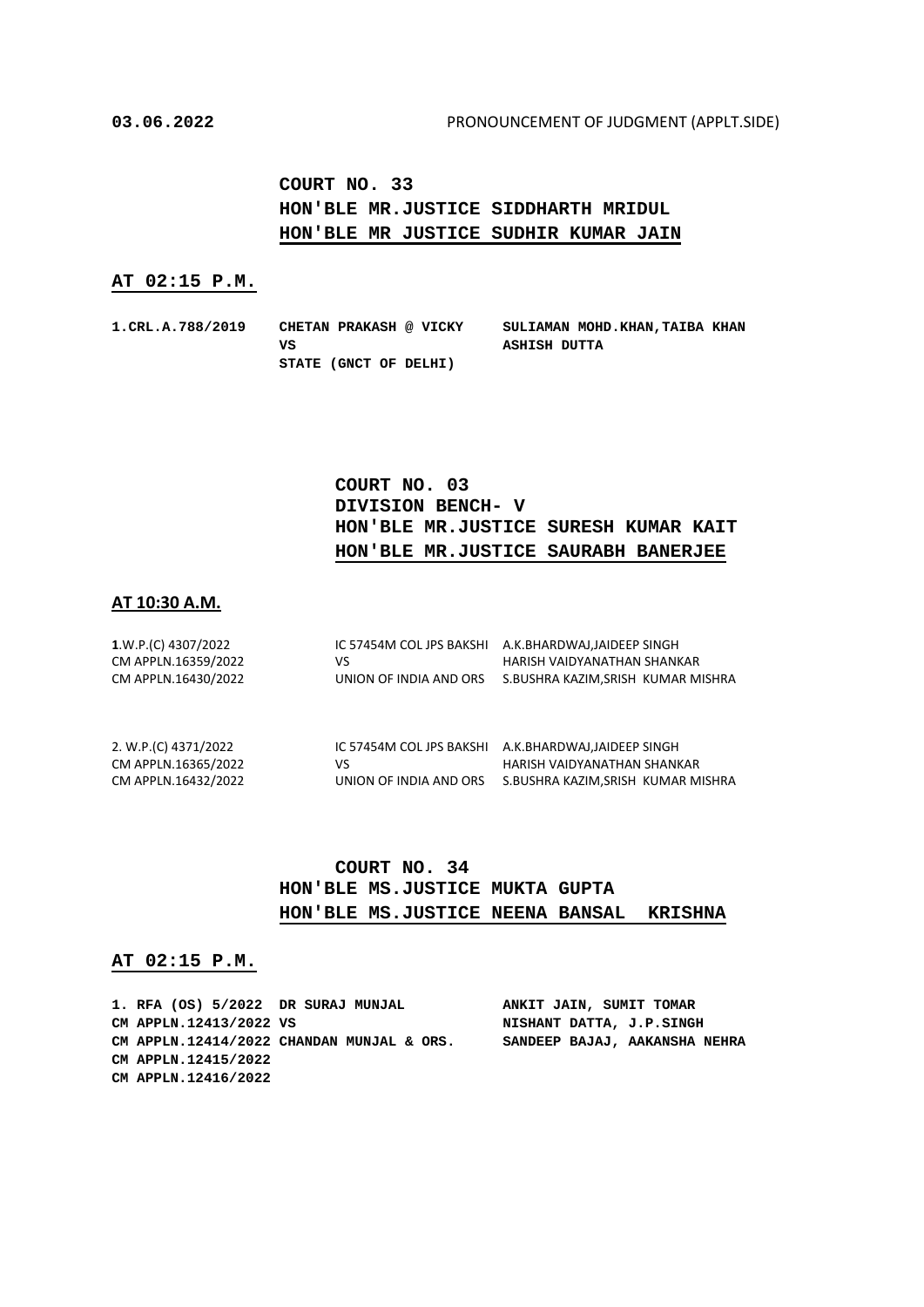**COURT NO. 33 HON'BLE MR.JUSTICE SIDDHARTH MRIDUL HON'BLE MR JUSTICE SUDHIR KUMAR JAIN**

#### **AT 02:15 P.M.**

**1.CRL.A.788/2019 CHETAN PRAKASH @ VICKY SULIAMAN MOHD.KHAN,TAIBA KHAN VS ASHISH DUTTA STATE (GNCT OF DELHI)**

# **COURT NO. 03 DIVISION BENCH- V HON'BLE MR.JUSTICE SURESH KUMAR KAIT HON'BLE MR.JUSTICE SAURABH BANERJEE**

### **AT 10:30 A.M.**

| 1.W.P.(C) 4307/2022  | IC 57454M COL JPS BAKSHI | A.K.BHARDWAJ,JAIDEEP SINGH         |
|----------------------|--------------------------|------------------------------------|
| CM APPLN.16359/2022  | VS                       | HARISH VAIDYANATHAN SHANKAR        |
| CM APPLN.16430/2022  | UNION OF INDIA AND ORS   | S.BUSHRA KAZIM, SRISH KUMAR MISHRA |
| 2. W.P.(C) 4371/2022 | IC 57454M COL JPS BAKSHI | A.K.BHARDWAJ.JAIDEEP SINGH         |
| CM APPLN.16365/2022  | VS                       | HARISH VAIDYANATHAN SHANKAR        |
| CM APPLN.16432/2022  | UNION OF INDIA AND ORS   | S.BUSHRA KAZIM, SRISH KUMAR MISHRA |

### **COURT NO. 34 HON'BLE MS.JUSTICE MUKTA GUPTA HON'BLE MS.JUSTICE NEENA BANSAL KRISHNA**

#### **AT 02:15 P.M.**

| 1. RFA (OS) 5/2022 DR SURAJ MUNJAL |                                           | ANKIT JAIN, SUMIT TOMAR       |
|------------------------------------|-------------------------------------------|-------------------------------|
| CM APPLN.12413/2022 VS             |                                           | NISHANT DATTA, J.P.SINGH      |
|                                    | CM APPLN.12414/2022 CHANDAN MUNJAL & ORS. | SANDEEP BAJAJ, AAKANSHA NEHRA |
| CM APPLN.12415/2022                |                                           |                               |
| CM APPLN.12416/2022                |                                           |                               |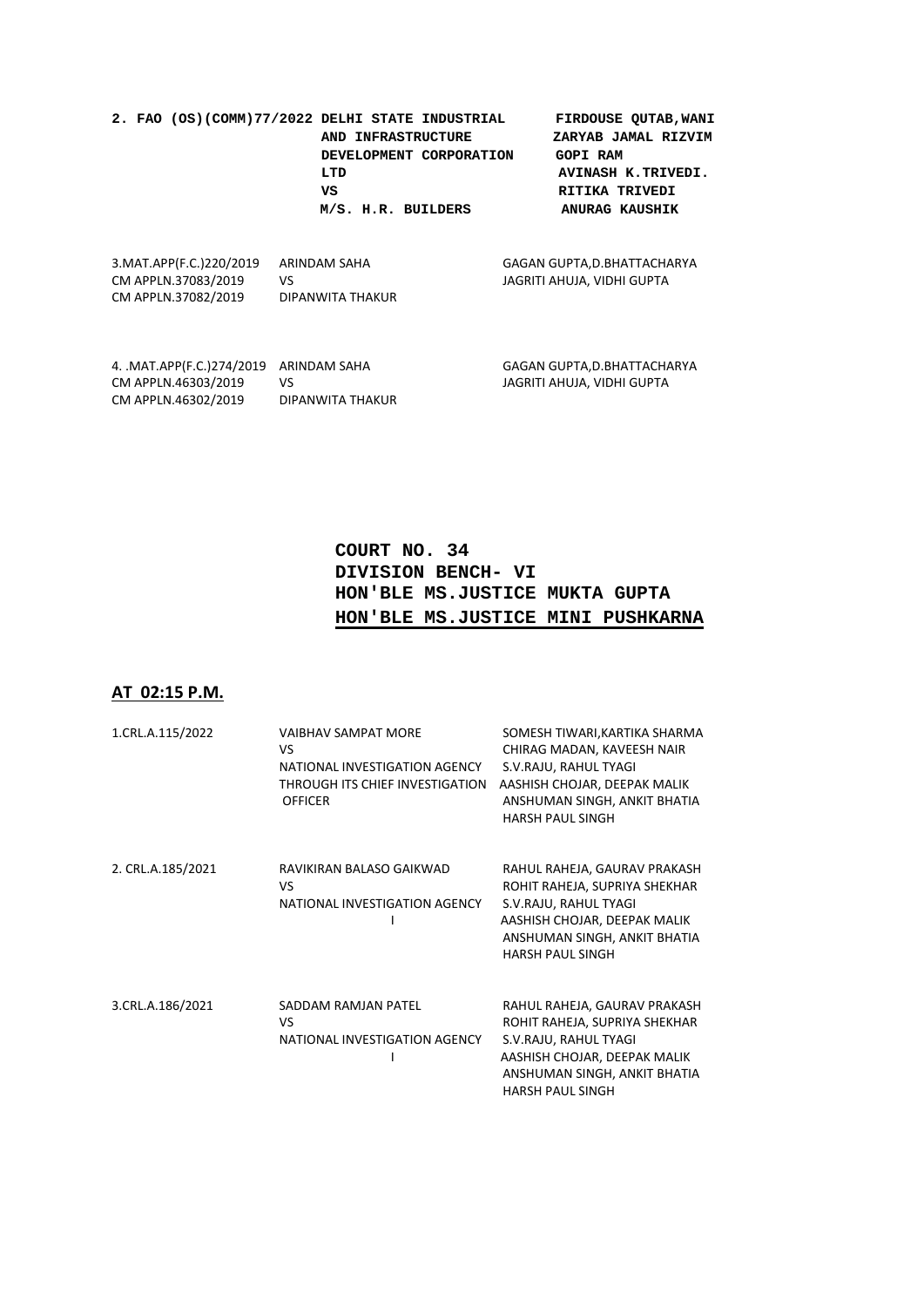|  | 2. FAO (OS)(COMM)77/2022 DELHI STATE INDUSTRIAL | FIRDOUSE QUTAB, WANI  |
|--|-------------------------------------------------|-----------------------|
|  | AND INFRASTRUCTURE                              | ZARYAB JAMAL RIZVIM   |
|  | DEVELOPMENT CORPORATION                         | <b>GOPI RAM</b>       |
|  | LTD                                             | AVINASH K.TRIVEDI.    |
|  | vs                                              | RITIKA TRIVEDI        |
|  | M/S. H.R. BUILDERS                              | <b>ANURAG KAUSHIK</b> |
|  |                                                 |                       |

| 3. MAT. APP (F.C.) 220/2019 | ARINDAM SAHA     | GAGAN GUPTA, D. BHATTACHARYA |
|-----------------------------|------------------|------------------------------|
| CM APPLN.37083/2019         | VS.              | JAGRITI AHUJA. VIDHI GUPTA   |
| CM APPLN.37082/2019         | DIPANWITA THAKUR |                              |
|                             |                  |                              |

| 4. MAT.APP(F.C.)274/2019 ARINDAM SAHA |                  | GAGAN GUPTA.D.BHATTACHARYA |
|---------------------------------------|------------------|----------------------------|
| CM APPLN.46303/2019                   | VS.              | JAGRITI AHUJA. VIDHI GUPTA |
| CM APPLN.46302/2019                   | DIPANWITA THAKUR |                            |

# **COURT NO. 34 DIVISION BENCH- VI HON'BLE MS.JUSTICE MUKTA GUPTA HON'BLE MS.JUSTICE MINI PUSHKARNA**

# **AT 02:15 P.M.**

| 1.CRL.A.115/2022  | <b>VAIBHAV SAMPAT MORE</b><br>VS<br>NATIONAL INVESTIGATION AGENCY<br>THROUGH ITS CHIEF INVESTIGATION<br><b>OFFICER</b> | SOMESH TIWARI, KARTIKA SHARMA<br>CHIRAG MADAN, KAVEESH NAIR<br>S.V.RAJU, RAHUL TYAGI<br>AASHISH CHOJAR, DEEPAK MALIK<br>ANSHUMAN SINGH, ANKIT BHATIA<br><b>HARSH PAUL SINGH</b>   |
|-------------------|------------------------------------------------------------------------------------------------------------------------|-----------------------------------------------------------------------------------------------------------------------------------------------------------------------------------|
| 2. CRL.A.185/2021 | RAVIKIRAN BALASO GAIKWAD<br>VS<br>NATIONAL INVESTIGATION AGENCY                                                        | RAHUL RAHEJA, GAURAV PRAKASH<br>ROHIT RAHEJA, SUPRIYA SHEKHAR<br>S.V.RAJU, RAHUL TYAGI<br>AASHISH CHOJAR, DEEPAK MALIK<br>ANSHUMAN SINGH, ANKIT BHATIA<br><b>HARSH PAUL SINGH</b> |
| 3.CRL.A.186/2021  | SADDAM RAMJAN PATEL<br>VS<br>NATIONAL INVESTIGATION AGENCY                                                             | RAHUL RAHEJA, GAURAV PRAKASH<br>ROHIT RAHEJA, SUPRIYA SHEKHAR<br>S.V.RAJU, RAHUL TYAGI<br>AASHISH CHOJAR, DEEPAK MALIK<br>ANSHUMAN SINGH, ANKIT BHATIA<br><b>HARSH PAUL SINGH</b> |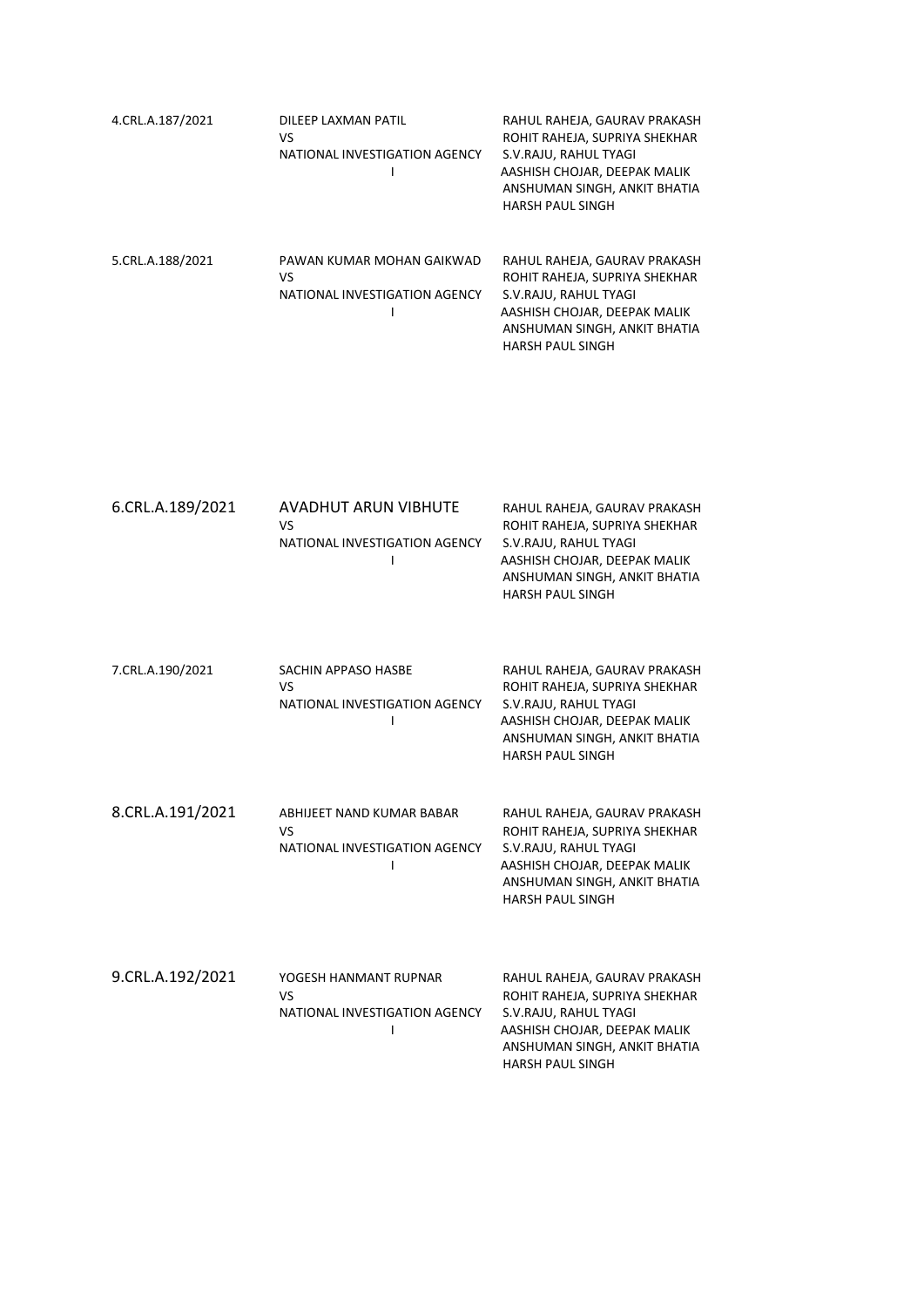| 4.CRL.A.187/2021 | DILEEP LAXMAN PATIL<br>VS<br>NATIONAL INVESTIGATION AGENCY       | RAHUL RAHEJA, GAURAV PRAKASH<br>ROHIT RAHEJA, SUPRIYA SHEKHAR<br>S.V.RAJU, RAHUL TYAGI<br>AASHISH CHOJAR, DEEPAK MALIK<br>ANSHUMAN SINGH, ANKIT BHATIA<br><b>HARSH PAUL SINGH</b> |
|------------------|------------------------------------------------------------------|-----------------------------------------------------------------------------------------------------------------------------------------------------------------------------------|
| 5.CRL.A.188/2021 | PAWAN KUMAR MOHAN GAIKWAD<br>VS<br>NATIONAL INVESTIGATION AGENCY | RAHUL RAHEJA, GAURAV PRAKASH<br>ROHIT RAHEJA, SUPRIYA SHEKHAR<br>S.V.RAJU, RAHUL TYAGI<br>AASHISH CHOJAR, DEEPAK MALIK<br>ANSHUMAN SINGH, ANKIT BHATIA<br><b>HARSH PAUL SINGH</b> |

| 6.CRL.A.189/2021 | <b>AVADHUT ARUN VIBHUTE</b>   | RAHUL RAHEJA, GAURAV PRAKASH  |
|------------------|-------------------------------|-------------------------------|
|                  | VS                            | ROHIT RAHEJA, SUPRIYA SHEKHAR |
|                  | NATIONAL INVESTIGATION AGENCY | S.V.RAJU, RAHUL TYAGI         |
|                  |                               | AASHISH CHOJAR, DEEPAK MALIK  |
|                  |                               | ANSHUMAN SINGH, ANKIT BHATIA  |
|                  |                               | <b>HARSH PAUL SINGH</b>       |
|                  |                               |                               |

| 7.CRL.A.190/2021 | SACHIN APPASO HASBE<br>VS<br>NATIONAL INVESTIGATION AGENCY       | RAHUL RAHEJA, GAURAV PRAKASH<br>ROHIT RAHEJA, SUPRIYA SHEKHAR<br>S.V.RAJU, RAHUL TYAGI<br>AASHISH CHOJAR, DEEPAK MALIK<br>ANSHUMAN SINGH, ANKIT BHATIA<br><b>HARSH PAUL SINGH</b> |
|------------------|------------------------------------------------------------------|-----------------------------------------------------------------------------------------------------------------------------------------------------------------------------------|
| 8.CRL.A.191/2021 | ABHIJEET NAND KUMAR BABAR<br>VS<br>NATIONAL INVESTIGATION AGENCY | RAHUL RAHEJA, GAURAV PRAKASH<br>ROHIT RAHEJA, SUPRIYA SHEKHAR<br>S.V.RAJU, RAHUL TYAGI<br>AASHISH CHOJAR, DEEPAK MALIK<br>ANSHUMAN SINGH, ANKIT BHATIA<br><b>HARSH PAUL SINGH</b> |
| 9.CRL.A.192/2021 | YOGESH HANMANT RUPNAR<br>VS<br>NATIONAL INVESTIGATION AGENCY     | RAHUL RAHEJA, GAURAV PRAKASH<br>ROHIT RAHEJA, SUPRIYA SHEKHAR<br>S.V.RAJU, RAHUL TYAGI<br>AASHISH CHOJAR, DEEPAK MALIK<br>ANSHUMAN SINGH, ANKIT BHATIA<br><b>HARSH PAUL SINGH</b> |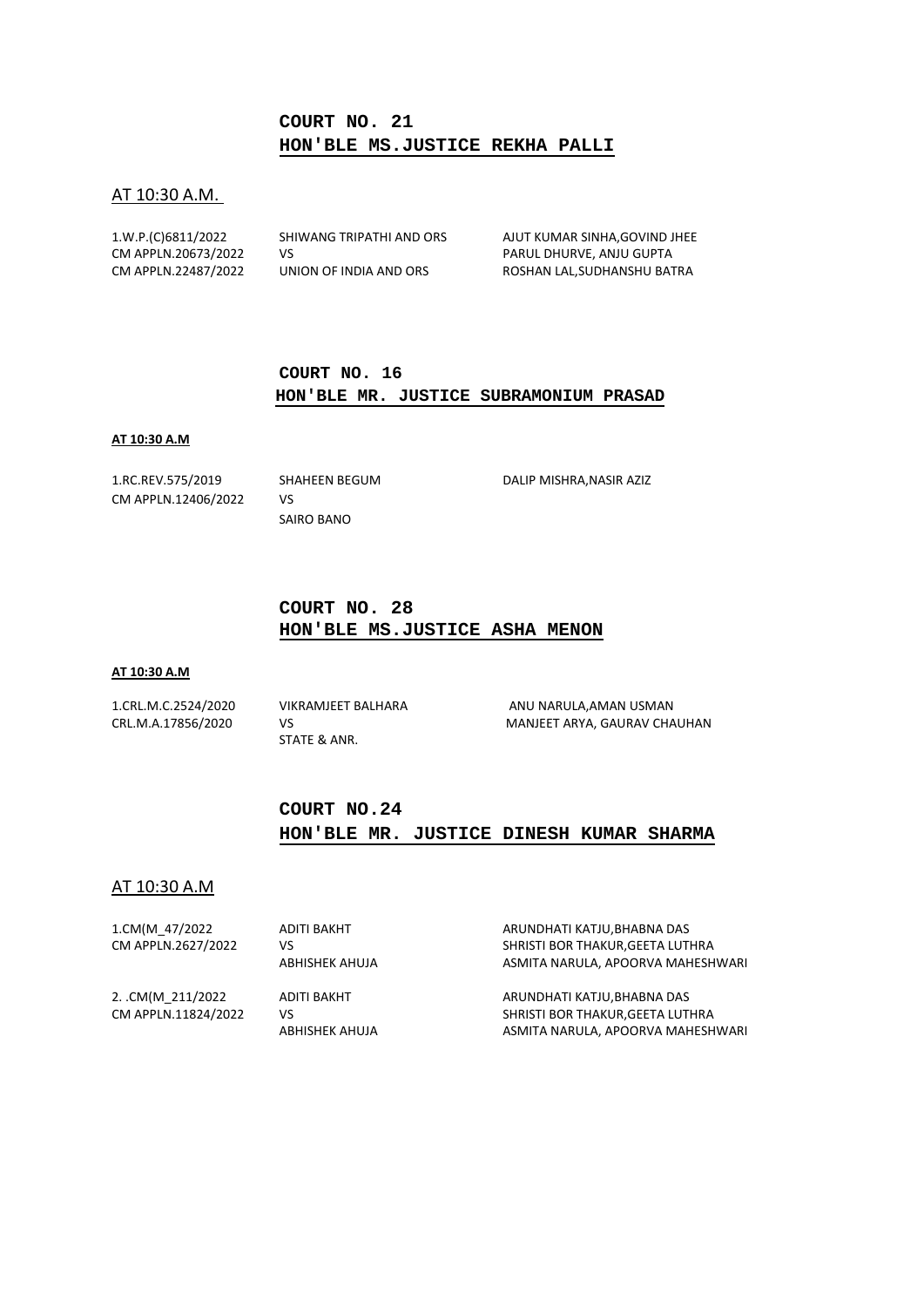# **COURT NO. 21 HON'BLE MS.JUSTICE REKHA PALLI**

#### AT 10:30 A.M.

| 1.W.P.(C)6811/2022  | SHIWANG TRIPATHI AND ORS | AJUT KUMAR SINHA, GOVIND JHEE |
|---------------------|--------------------------|-------------------------------|
| CM APPLN.20673/2022 | VS.                      | PARUL DHURVE, ANJU GUPTA      |
| CM APPLN.22487/2022 | UNION OF INDIA AND ORS   | ROSHAN LAL.SUDHANSHU BATRA    |

### **COURT NO. 16 HON'BLE MR. JUSTICE SUBRAMONIUM PRASAD**

#### **AT 10:30 A.M**

CM APPLN.12406/2022 VS

SAIRO BANO

1.RC.REV.575/2019 SHAHEEN BEGUM DALIP MISHRA,NASIR AZIZ

### **COURT NO. 28 HON'BLE MS.JUSTICE ASHA MENON**

#### **AT 10:30 A.M**

STATE & ANR.

1.CRL.M.C.2524/2020 VIKRAMJEET BALHARA ANU NARULA,AMAN USMAN CRL.M.A.17856/2020 VS MANJEET ARYA, GAURAV CHAUHAN

# **COURT NO.24 HON'BLE MR. JUSTICE DINESH KUMAR SHARMA**

### AT 10:30 A.M

| 1.CM(M 47/2022      | ADITI BAKHT    | ARUNDHATI KATJU, BHABNA DAS       |
|---------------------|----------------|-----------------------------------|
| CM APPLN.2627/2022  | vs             | SHRISTI BOR THAKUR, GEETA LUTHRA  |
|                     | ABHISHEK AHUJA | ASMITA NARULA, APOORVA MAHESHWARI |
| 2. CM(M 211/2022    | ADITI BAKHT    | ARUNDHATI KATJU.BHABNA DAS        |
| CM APPLN.11824/2022 | VS             | SHRISTI BOR THAKUR, GEETA LUTHRA  |
|                     | ABHISHEK AHUJA | ASMITA NARULA, APOORVA MAHESHWARI |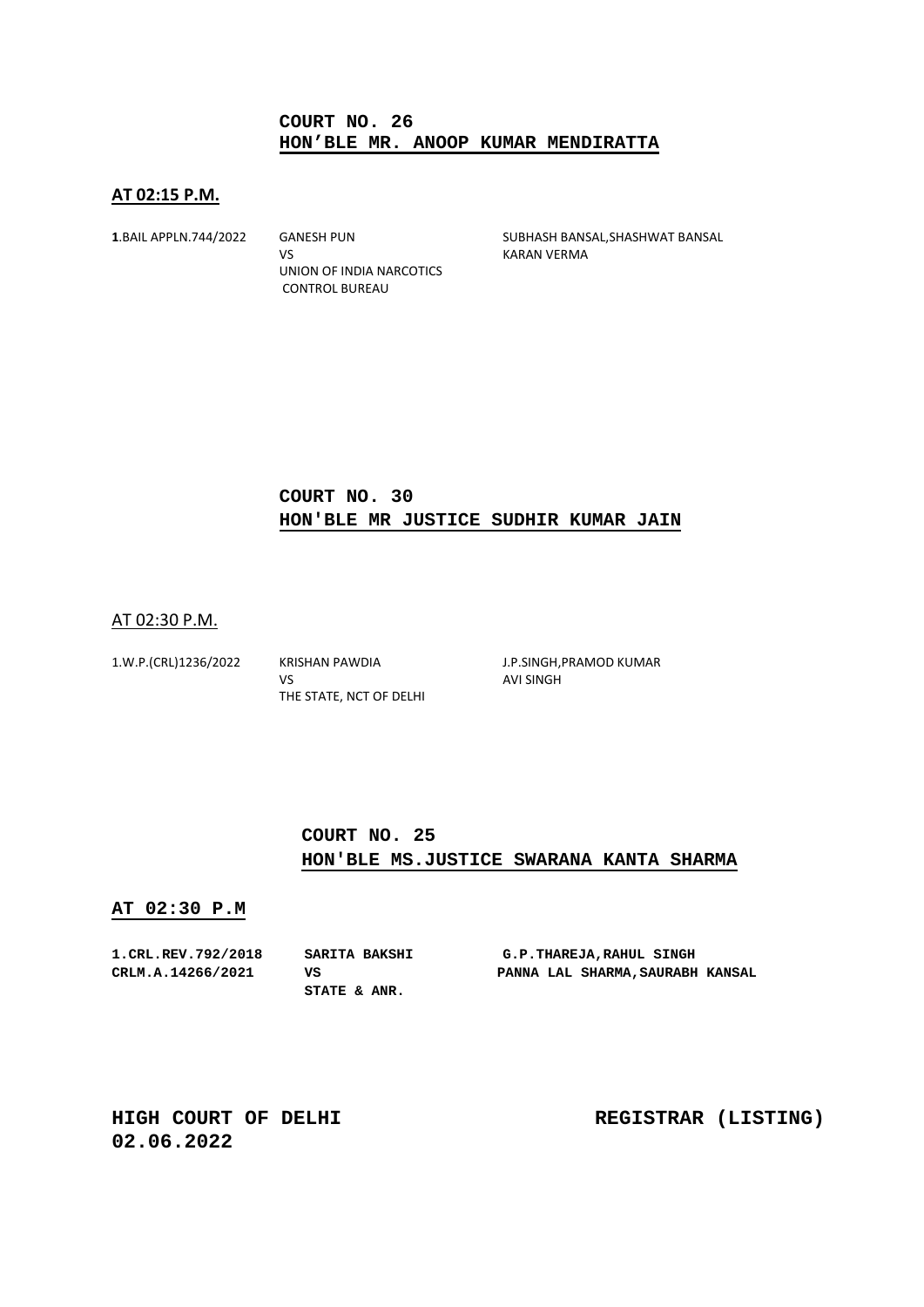### **COURT NO. 26 HON'BLE MR. ANOOP KUMAR MENDIRATTA**

### **AT 02:15 P.M.**

VS KARAN VERMA UNION OF INDIA NARCOTICS CONTROL BUREAU

**1**.BAIL APPLN.744/2022 GANESH PUN SUBHASH BANSAL,SHASHWAT BANSAL

# **COURT NO. 30 HON'BLE MR JUSTICE SUDHIR KUMAR JAIN**

### AT 02:30 P.M.

| 1.W.P.(CRL)1236/2022 | <b>KRISHAN PAWDIA</b>   |
|----------------------|-------------------------|
|                      | v٢                      |
|                      | THE STATE, NCT OF DELHI |

J.P.SINGH, PRAMOD KUMAR **AVI SINGH** 

# **COURT NO. 25 HON'BLE MS.JUSTICE SWARANA KANTA SHARMA**

#### **AT 02:30 P.M**

| 1. CRL.REV. 792/2018 | SARITA BAKSHI | G.P.THAREJA,RAHUL SINGH          |
|----------------------|---------------|----------------------------------|
| CRLM.A.14266/2021    | vs            | PANNA LAL SHARMA, SAURABH KANSAL |
|                      | STATE & ANR.  |                                  |

**02.06.2022** 

**HIGH COURT OF DELHI REGISTRAR (LISTING)**